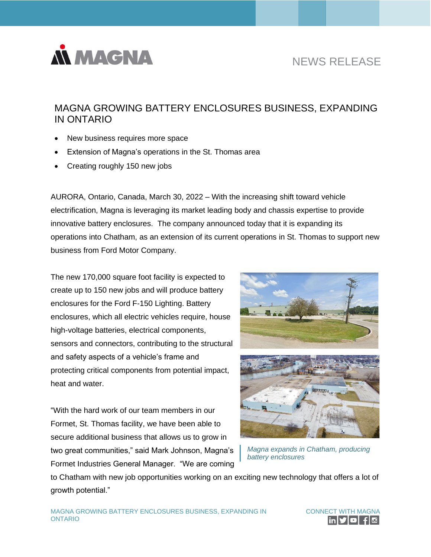

# NEWS RELEASE

## MAGNA GROWING BATTERY ENCLOSURES BUSINESS, EXPANDING IN ONTARIO

- New business requires more space
- Extension of Magna's operations in the St. Thomas area
- Creating roughly 150 new jobs

AURORA, Ontario, Canada, March 30, 2022 – With the increasing shift toward vehicle electrification, Magna is leveraging its market leading body and chassis expertise to provide innovative battery enclosures. The company announced today that it is expanding its operations into Chatham, as an extension of its current operations in St. Thomas to support new business from Ford Motor Company.

The new 170,000 square foot facility is expected to create up to 150 new jobs and will produce battery enclosures for the Ford F-150 Lighting. Battery enclosures, which all electric vehicles require, house high-voltage batteries, electrical components, sensors and connectors, contributing to the structural and safety aspects of a vehicle's frame and protecting critical components from potential impact, heat and water.





*Magna expands in Chatham, producing battery enclosures*

to Chatham with new job opportunities working on an exciting new technology that offers a lot of growth potential."

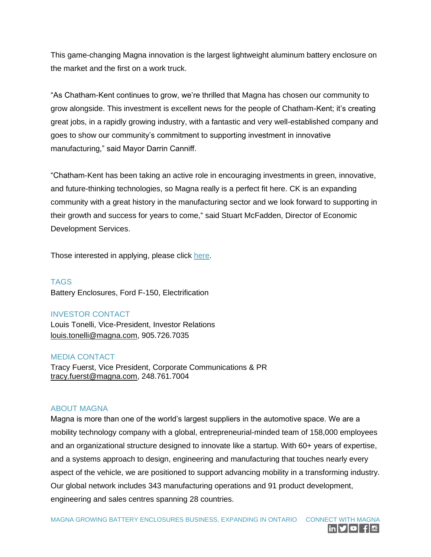This game-changing Magna innovation is the largest lightweight aluminum battery enclosure on the market and the first on a work truck.

"As Chatham-Kent continues to grow, we're thrilled that Magna has chosen our community to grow alongside. This investment is excellent news for the people of Chatham-Kent; it's creating great jobs, in a rapidly growing industry, with a fantastic and very well-established company and goes to show our community's commitment to supporting investment in innovative manufacturing," said Mayor Darrin Canniff.

"Chatham-Kent has been taking an active role in encouraging investments in green, innovative, and future-thinking technologies, so Magna really is a perfect fit here. CK is an expanding community with a great history in the manufacturing sector and we look forward to supporting in their growth and success for years to come," said Stuart McFadden, Director of Economic Development Services.

Those interested in applying, please click [here.](https://www.magna.com/company/careers)

TAGS Battery Enclosures, Ford F-150, Electrification

#### INVESTOR CONTACT

Louis Tonelli, Vice-President, Investor Relations [louis.tonelli@magna.com,](mailto:louis.tonelli@magna.com) 905.726.7035

#### MEDIA CONTACT

Tracy Fuerst, Vice President, Corporate Communications & PR [tracy.fuerst@magna.com,](mailto:tracy.fuerst@magna.com) 248.761.7004

### ABOUT MAGNA

Magna is more than one of the world's largest suppliers in the automotive space. We are a mobility technology company with a global, entrepreneurial-minded team of 158,000 employees and an organizational structure designed to innovate like a startup. With 60+ years of expertise, and a systems approach to design, engineering and manufacturing that touches nearly every aspect of the vehicle, we are positioned to support advancing mobility in a transforming industry. Our global network includes 343 manufacturing operations and 91 product development, engineering and sales centres spanning 28 countries.